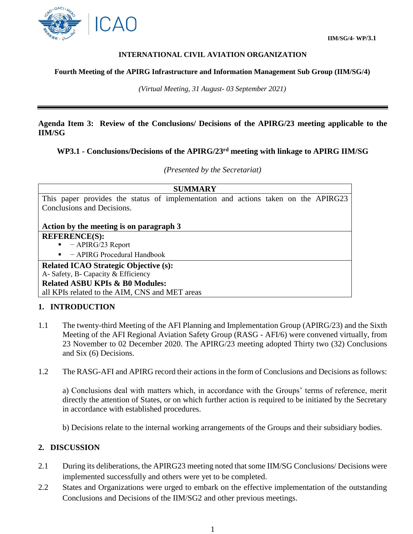

 **IIM/SG/4- WP/3.1**

### **INTERNATIONAL CIVIL AVIATION ORGANIZATION**

#### **Fourth Meeting of the APIRG Infrastructure and Information Management Sub Group (IIM/SG/4)**

*(Virtual Meeting, 31 August- 03 September 2021)*

## **Agenda Item 3: Review of the Conclusions/ Decisions of the APIRG/23 meeting applicable to the IIM/SG**

### **WP3.1 - Conclusions/Decisions of the APIRG/23 rd meeting with linkage to APIRG IIM/SG**

### *(Presented by the Secretariat)*

|                                                |  |                                   |  |  |  | <b>SUMMARY</b>                                                                    |  |  |  |  |  |  |
|------------------------------------------------|--|-----------------------------------|--|--|--|-----------------------------------------------------------------------------------|--|--|--|--|--|--|
|                                                |  |                                   |  |  |  | This paper provides the status of implementation and actions taken on the APIRG23 |  |  |  |  |  |  |
| Conclusions and Decisions.                     |  |                                   |  |  |  |                                                                                   |  |  |  |  |  |  |
|                                                |  |                                   |  |  |  |                                                                                   |  |  |  |  |  |  |
| Action by the meeting is on paragraph 3        |  |                                   |  |  |  |                                                                                   |  |  |  |  |  |  |
| <b>REFERENCE(S):</b>                           |  |                                   |  |  |  |                                                                                   |  |  |  |  |  |  |
|                                                |  | $\blacksquare$ - APIRG/23 Report  |  |  |  |                                                                                   |  |  |  |  |  |  |
| $\blacksquare$ - APIRG Procedural Handbook     |  |                                   |  |  |  |                                                                                   |  |  |  |  |  |  |
| <b>Related ICAO Strategic Objective (s):</b>   |  |                                   |  |  |  |                                                                                   |  |  |  |  |  |  |
|                                                |  | A-Safety, B-Capacity & Efficiency |  |  |  |                                                                                   |  |  |  |  |  |  |
| <b>Related ASBU KPIs &amp; B0 Modules:</b>     |  |                                   |  |  |  |                                                                                   |  |  |  |  |  |  |
| all KPIs related to the AIM, CNS and MET areas |  |                                   |  |  |  |                                                                                   |  |  |  |  |  |  |

## **1. INTRODUCTION**

- 1.1 The twenty-third Meeting of the AFI Planning and Implementation Group (APIRG/23) and the Sixth Meeting of the AFI Regional Aviation Safety Group (RASG - AFI/6) were convened virtually, from 23 November to 02 December 2020. The APIRG/23 meeting adopted Thirty two (32) Conclusions and Six (6) Decisions.
- 1.2 The RASG-AFI and APIRG record their actions in the form of Conclusions and Decisions as follows:

a) Conclusions deal with matters which, in accordance with the Groups' terms of reference, merit directly the attention of States, or on which further action is required to be initiated by the Secretary in accordance with established procedures.

b) Decisions relate to the internal working arrangements of the Groups and their subsidiary bodies.

## **2. DISCUSSION**

- 2.1 During its deliberations, the APIRG23 meeting noted that some IIM/SG Conclusions/ Decisions were implemented successfully and others were yet to be completed.
- 2.2 States and Organizations were urged to embark on the effective implementation of the outstanding Conclusions and Decisions of the IIM/SG2 and other previous meetings.